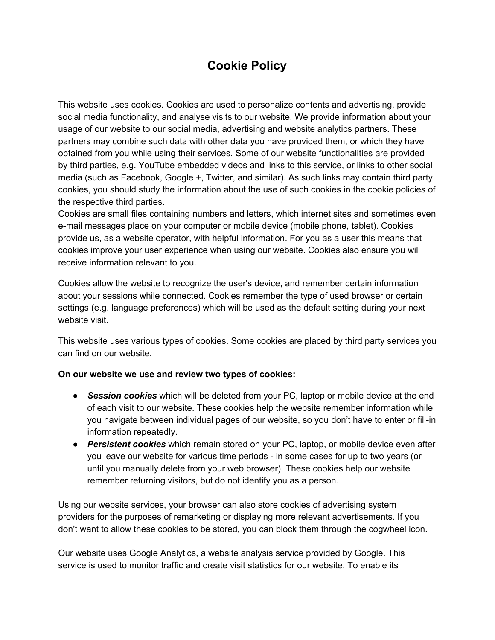## **Cookie Policy**

This website uses cookies. Cookies are used to personalize contents and advertising, provide social media functionality, and analyse visits to our website. We provide information about your usage of our website to our social media, advertising and website analytics partners. These partners may combine such data with other data you have provided them, or which they have obtained from you while using their services. Some of our website functionalities are provided by third parties, e.g. YouTube embedded videos and links to this service, or links to other social media (such as Facebook, Google +, Twitter, and similar). As such links may contain third party cookies, you should study the information about the use of such cookies in the cookie policies of the respective third parties.

Cookies are small files containing numbers and letters, which internet sites and sometimes even e-mail messages place on your computer or mobile device (mobile phone, tablet). Cookies provide us, as a website operator, with helpful information. For you as a user this means that cookies improve your user experience when using our website. Cookies also ensure you will receive information relevant to you.

Cookies allow the website to recognize the user's device, and remember certain information about your sessions while connected. Cookies remember the type of used browser or certain settings (e.g. language preferences) which will be used as the default setting during your next website visit.

This website uses various types of cookies. Some cookies are placed by third party services you can find on our website.

#### **On our website we use and review two types of cookies:**

- *Session cookies*which will be deleted from your PC, laptop or mobile device at the end of each visit to our website. These cookies help the website remember information while you navigate between individual pages of our website, so you don't have to enter or fill-in information repeatedly.
- *Persistent cookies*which remain stored on your PC, laptop, or mobile device even after you leave our website for various time periods - in some cases for up to two years (or until you manually delete from your web browser). These cookies help our website remember returning visitors, but do not identify you as a person.

Using our website services, your browser can also store cookies of advertising system providers for the purposes of remarketing or displaying more relevant advertisements. If you don't want to allow these cookies to be stored, you can block them through the cogwheel icon.

Our website uses Google Analytics, a website analysis service provided by Google. This service is used to monitor traffic and create visit statistics for our website. To enable its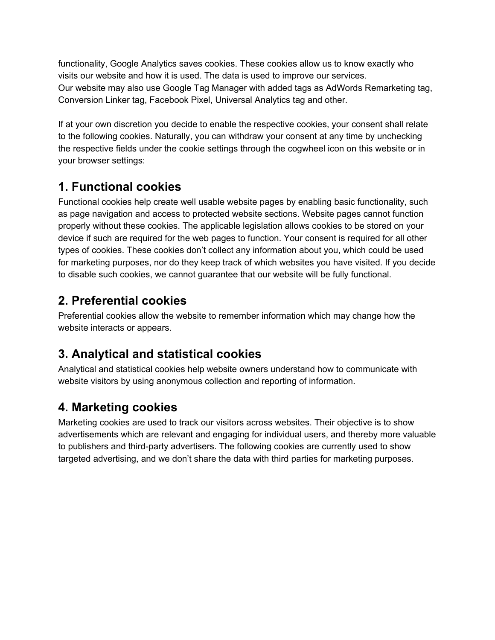functionality, Google Analytics saves cookies. These cookies allow us to know exactly who visits our website and how it is used. The data is used to improve our services. Our website may also use Google Tag Manager with added tags as AdWords Remarketing tag, Conversion Linker tag, Facebook Pixel, Universal Analytics tag and other.

If at your own discretion you decide to enable the respective cookies, your consent shall relate to the following cookies. Naturally, you can withdraw your consent at any time by unchecking the respective fields under the cookie settings through the cogwheel icon on this website or in your browser settings:

## **1. Functional cookies**

Functional cookies help create well usable website pages by enabling basic functionality, such as page navigation and access to protected website sections. Website pages cannot function properly without these cookies. The applicable legislation allows cookies to be stored on your device if such are required for the web pages to function. Your consent is required for all other types of cookies. These cookies don't collect any information about you, which could be used for marketing purposes, nor do they keep track of which websites you have visited. If you decide to disable such cookies, we cannot guarantee that our website will be fully functional.

# **2. Preferential cookies**

Preferential cookies allow the website to remember information which may change how the website interacts or appears.

# **3. Analytical and statistical cookies**

Analytical and statistical cookies help website owners understand how to communicate with website visitors by using anonymous collection and reporting of information.

# **4. Marketing cookies**

Marketing cookies are used to track our visitors across websites. Their objective is to show advertisements which are relevant and engaging for individual users, and thereby more valuable to publishers and third-party advertisers. The following cookies are currently used to show targeted advertising, and we don't share the data with third parties for marketing purposes.